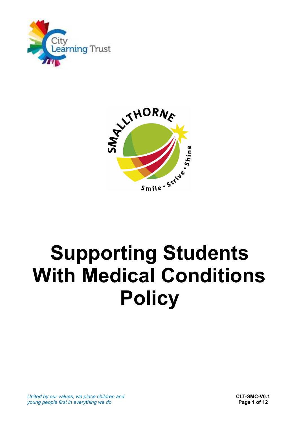



# **Supporting Students With Medical Conditions Policy**

*United by our values, we place children and* **CLT-SMC-V0.1 CLT-SMC-V0.1 CLT-SMC-V0.1** *Page 1 of 12 young people first in everything we do*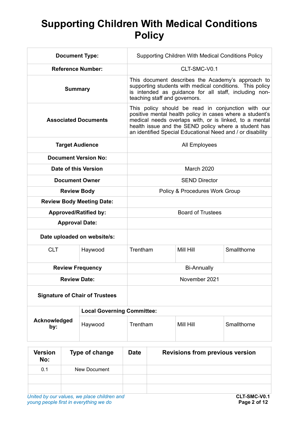# **Supporting Children With Medical Conditions Policy**

| <b>Document Type:</b>                 |                                   | Supporting Children With Medical Conditions Policy                                                                                                                                                                                                                                             |           |             |
|---------------------------------------|-----------------------------------|------------------------------------------------------------------------------------------------------------------------------------------------------------------------------------------------------------------------------------------------------------------------------------------------|-----------|-------------|
| <b>Reference Number:</b>              |                                   | CLT-SMC-V0.1                                                                                                                                                                                                                                                                                   |           |             |
| <b>Summary</b>                        |                                   | This document describes the Academy's approach to<br>supporting students with medical conditions. This policy<br>is intended as guidance for all staff, including non-<br>teaching staff and governors.                                                                                        |           |             |
| <b>Associated Documents</b>           |                                   | This policy should be read in conjunction with our<br>positive mental health policy in cases where a student's<br>medical needs overlaps with, or is linked, to a mental<br>health issue and the SEND policy where a student has<br>an identified Special Educational Need and / or disability |           |             |
| <b>Target Audience</b>                |                                   | All Employees                                                                                                                                                                                                                                                                                  |           |             |
| <b>Document Version No:</b>           |                                   |                                                                                                                                                                                                                                                                                                |           |             |
| Date of this Version                  |                                   | <b>March 2020</b>                                                                                                                                                                                                                                                                              |           |             |
| <b>Document Owner</b>                 |                                   | <b>SEND Director</b>                                                                                                                                                                                                                                                                           |           |             |
| <b>Review Body</b>                    |                                   | Policy & Procedures Work Group                                                                                                                                                                                                                                                                 |           |             |
| <b>Review Body Meeting Date:</b>      |                                   |                                                                                                                                                                                                                                                                                                |           |             |
| <b>Approved/Ratified by:</b>          |                                   | <b>Board of Trustees</b>                                                                                                                                                                                                                                                                       |           |             |
| <b>Approval Date:</b>                 |                                   |                                                                                                                                                                                                                                                                                                |           |             |
| Date uploaded on website/s:           |                                   |                                                                                                                                                                                                                                                                                                |           |             |
| <b>CLT</b>                            | Haywood                           | Trentham                                                                                                                                                                                                                                                                                       | Mill Hill | Smallthorne |
| <b>Review Frequency</b>               |                                   | <b>Bi-Annually</b>                                                                                                                                                                                                                                                                             |           |             |
| <b>Review Date:</b>                   |                                   | November 2021                                                                                                                                                                                                                                                                                  |           |             |
| <b>Signature of Chair of Trustees</b> |                                   |                                                                                                                                                                                                                                                                                                |           |             |
|                                       | <b>Local Governing Committee:</b> |                                                                                                                                                                                                                                                                                                |           |             |
| Acknowledged<br>by:                   | Haywood                           | Trentham                                                                                                                                                                                                                                                                                       | Mill Hill | Smallthorne |

| <b>Version</b><br>No: | Type of change | <b>Date</b> | <b>Revisions from previous version</b> |
|-----------------------|----------------|-------------|----------------------------------------|
| 0.1                   | New Document   |             |                                        |
|                       |                |             |                                        |
|                       |                |             |                                        |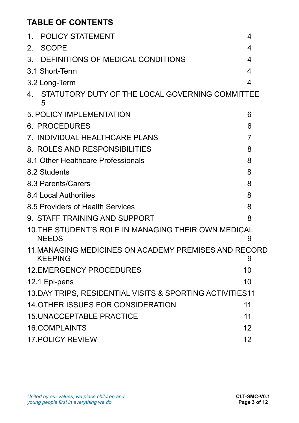## **TABLE OF CONTENTS**

| <b>POLICY STATEMENT</b><br>1.                                           | 4              |
|-------------------------------------------------------------------------|----------------|
| <b>SCOPE</b><br>$2_{-}$                                                 | 4              |
| DEFINITIONS OF MEDICAL CONDITIONS<br>3.                                 | 4              |
| 3.1 Short-Term                                                          | 4              |
| 3.2 Long-Term                                                           | $\overline{4}$ |
| STATUTORY DUTY OF THE LOCAL GOVERNING COMMITTEE<br>4.<br>5              |                |
| 5. POLICY IMPLEMENTATION                                                | 6              |
| <b>6. PROCEDURES</b>                                                    | 6              |
| 7. INDIVIDUAL HEALTHCARE PLANS                                          | 7              |
| 8. ROLES AND RESPONSIBILITIES                                           | 8              |
| 8.1 Other Healthcare Professionals                                      |                |
| 8.2 Students                                                            | 8              |
| 8.3 Parents/Carers                                                      | 8              |
| 8.4 Local Authorities                                                   | 8              |
| 8.5 Providers of Health Services                                        | 8              |
| 9. STAFF TRAINING AND SUPPORT                                           | 8              |
| 10. THE STUDENT'S ROLE IN MANAGING THEIR OWN MEDICAL<br><b>NEEDS</b>    | 9              |
| 11. MANAGING MEDICINES ON ACADEMY PREMISES AND RECORD<br><b>KEEPING</b> | 9              |
| <b>12.EMERGENCY PROCEDURES</b>                                          | 10             |
| 12.1 Epi-pens                                                           | 10             |
| 13.DAY TRIPS, RESIDENTIAL VISITS & SPORTING ACTIVITIES11                |                |
| <b>14. OTHER ISSUES FOR CONSIDERATION</b>                               | 11             |
| <b>15. UNACCEPTABLE PRACTICE</b>                                        | 11             |
| <b>16.COMPLAINTS</b>                                                    | 12             |
| <b>17. POLICY REVIEW</b>                                                | 12             |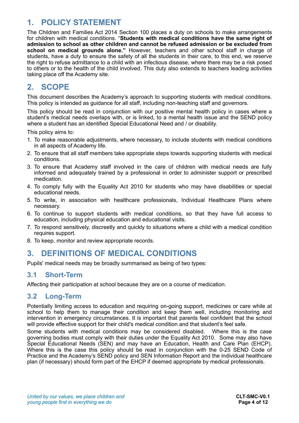## <span id="page-3-0"></span>**1. POLICY STATEMENT**

The Children and Families Act 2014 Section 100 places a duty on schools to make arrangements for children with medical conditions. "**Students with medical conditions have the same right of admission to school as other children and cannot be refused admission or be excluded from school on medical grounds alone."** However, teachers and other school staff in charge of students, have a duty to ensure the safety of all the students in their care, to this end, we reserve the right to refuse admittance to a child with an infectious disease, where there may be a risk posed to others or to the health of the child involved. This duty also extends to teachers leading activities taking place off the Academy site.

## <span id="page-3-1"></span>**2. SCOPE**

This document describes the Academy's approach to supporting students with medical conditions. This policy is intended as guidance for all staff, including non-teaching staff and governors.

This policy should be read in conjunction with our positive mental health policy in cases where a student's medical needs overlaps with, or is linked, to a mental health issue and the SEND policy where a student has an identified Special Educational Need and / or disability.

This policy aims to:

- 1. To make reasonable adjustments, where necessary, to include students with medical conditions in all aspects of Academy life.
- 2. To ensure that all staff members take appropriate steps towards supporting students with medical conditions.
- 3. To ensure that Academy staff involved in the care of children with medical needs are fully informed and adequately trained by a professional in order to administer support or prescribed medication.
- 4. To comply fully with the Equality Act 2010 for students who may have disabilities or special educational needs.
- 5. To write, in association with healthcare professionals, Individual Healthcare Plans where necessary.
- 6. To continue to support students with medical conditions, so that they have full access to education, including physical education and educational visits.
- 7. To respond sensitively, discreetly and quickly to situations where a child with a medical condition requires support.
- 8. To keep, monitor and review appropriate records.

## <span id="page-3-2"></span>**3. DEFINITIONS OF MEDICAL CONDITIONS**

Pupils' medical needs may be broadly summarised as being of two types:

#### <span id="page-3-3"></span>**3.1 Short-Term**

Affecting their participation at school because they are on a course of medication.

#### <span id="page-3-4"></span>**3.2 Long-Term**

Potentially limiting access to education and requiring on-going support, medicines or care while at school to help them to manage their condition and keep them well, including monitoring and intervention in emergency circumstances. It is important that parents feel confident that the school will provide effective support for their child's medical condition and that student's feel safe.

Some students with medical conditions may be considered disabled. Where this is the case governing bodies must comply with their duties under the Equality Act 2010. Some may also have Special Educational Needs (SEN) and may have an Education, Health and Care Plan (EHCP). Where this is the case this policy should be read in conjunction with the 0-25 SEND Code of Practice and the Academy's SEND policy and SEN Information Report and the individual healthcare plan (if necessary) should form part of the EHCP if deemed appropriate by medical professionals.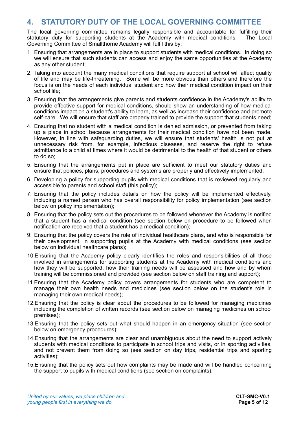#### <span id="page-4-0"></span>**4. STATUTORY DUTY OF THE LOCAL GOVERNING COMMITTEE**

The local governing committee remains legally responsible and accountable for fulfilling their statutory duty for supporting students at the Academy with medical conditions. The Local Governing Committee of Smallthorne Academy will fulfil this by:

- 1. Ensuring that arrangements are in place to support students with medical conditions. In doing so we will ensure that such students can access and enjoy the same opportunities at the Academy as any other student;
- 2. Taking into account the many medical conditions that require support at school will affect quality of life and may be life-threatening. Some will be more obvious than others and therefore the focus is on the needs of each individual student and how their medical condition impact on their school life;
- 3. Ensuring that the arrangements give parents and students confidence in the Academy's ability to provide effective support for medical conditions, should show an understanding of how medical conditions impact on a student's ability to learn, as well as increase their confidence and promote self-care. We will ensure that staff are properly trained to provide the support that students need;
- 4. Ensuring that no student with a medical condition is denied admission, or prevented from taking up a place in school because arrangements for their medical condition have not been made. However, in line with safeguarding duties, we will ensure that students' health is not put at unnecessary risk from, for example, infectious diseases, and reserve the right to refuse admittance to a child at times where it would be detrimental to the health of that student or others to do so;
- 5. Ensuring that the arrangements put in place are sufficient to meet our statutory duties and ensure that policies, plans, procedures and systems are properly and effectively implemented;
- 6. Developing a policy for supporting pupils with medical conditions that is reviewed regularly and accessible to parents and school staff (this policy);
- 7. Ensuring that the policy includes details on how the policy will be implemented effectively, including a named person who has overall responsibility for policy implementation (see section below on policy implementation);
- 8. Ensuring that the policy sets out the procedures to be followed whenever the Academy is notified that a student has a medical condition (see section below on procedure to be followed when notification are received that a student has a medical condition);
- 9. Ensuring that the policy covers the role of individual healthcare plans, and who is responsible for their development, in supporting pupils at the Academy with medical conditions (see section below on individual healthcare plans);
- 10.Ensuring that the Academy policy clearly identifies the roles and responsibilities of all those involved in arrangements for supporting students at the Academy with medical conditions and how they will be supported, how their training needs will be assessed and how and by whom training will be commissioned and provided (see section below on staff training and support);
- 11.Ensuring that the Academy policy covers arrangements for students who are competent to manage their own health needs and medicines (see section below on the student's role in managing their own medical needs);
- 12.Ensuring that the policy is clear about the procedures to be followed for managing medicines including the completion of written records (see section below on managing medicines on school premises);
- 13.Ensuring that the policy sets out what should happen in an emergency situation (see section below on emergency procedures);
- 14.Ensuring that the arrangements are clear and unambiguous about the need to support actively students with medical conditions to participate in school trips and visits, or in sporting activities, and not prevent them from doing so (see section on day trips, residential trips and sporting activities);
- 15.Ensuring that the policy sets out how complaints may be made and will be handled concerning the support to pupils with medical conditions (see section on complaints).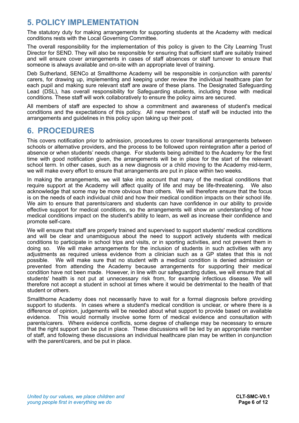## <span id="page-5-0"></span>**5. POLICY IMPLEMENTATION**

The statutory duty for making arrangements for supporting students at the Academy with medical conditions rests with the Local Governing Committee.

The overall responsibility for the implementation of this policy is given to the City Learning Trust Director for SEND. They will also be responsible for ensuring that sufficient staff are suitably trained and will ensure cover arrangements in cases of staff absences or staff turnover to ensure that someone is always available and on-site with an appropriate level of training.

Deb Sutherland, SENCo at Smallthorne Academy will be responsible in conjunction with parents/ carers, for drawing up, implementing and keeping under review the individual healthcare plan for each pupil and making sure relevant staff are aware of these plans. The Designated Safeguarding Lead (DSL), has overall responsibility for Safeguarding students, including those with medical conditions. These staff will work collaboratively to ensure the policy aims are secured.

All members of staff are expected to show a commitment and awareness of student's medical conditions and the expectations of this policy. All new members of staff will be inducted into the arrangements and guidelines in this policy upon taking up their post.

## <span id="page-5-1"></span>**6. PROCEDURES**

This covers notification prior to admission, procedures to cover transitional arrangements between schools or alternative providers, and the process to be followed upon reintegration after a period of absence or when students' needs change. For students being admitted to the Academy for the first time with good notification given, the arrangements will be in place for the start of the relevant school term. In other cases, such as a new diagnosis or a child moving to the Academy mid-term, we will make every effort to ensure that arrangements are put in place within two weeks.

In making the arrangements, we will take into account that many of the medical conditions that require support at the Academy will affect quality of life and may be life-threatening. We also acknowledge that some may be more obvious than others. We will therefore ensure that the focus is on the needs of each individual child and how their medical condition impacts on their school life. We aim to ensure that parents/carers and students can have confidence in our ability to provide effective support for medical conditions, so the arrangements will show an understanding of how medical conditions impact on the student's ability to learn, as well as increase their confidence and promote self-care.

We will ensure that staff are properly trained and supervised to support students' medical conditions and will be clear and unambiguous about the need to support actively students with medical conditions to participate in school trips and visits, or in sporting activities, and not prevent them in doing so. We will make arrangements for the inclusion of students in such activities with any adjustments as required unless evidence from a clinician such as a GP states that this is not possible. We will make sure that no student with a medical condition is denied admission or prevented from attending the Academy because arrangements for supporting their medical condition have not been made. However, in line with our safeguarding duties, we will ensure that all students' health is not put at unnecessary risk from, for example infectious disease. We will therefore not accept a student in school at times where it would be detrimental to the health of that student or others.

Smallthorne Academy does not necessarily have to wait for a formal diagnosis before providing support to students. In cases where a student's medical condition is unclear, or where there is a difference of opinion, judgements will be needed about what support to provide based on available evidence. This would normally involve some form of medical evidence and consultation with parents/carers. Where evidence conflicts, some degree of challenge may be necessary to ensure that the right support can be put in place. These discussions will be led by an appropriate member of staff, and following these discussions an individual healthcare plan may be written in conjunction with the parent/carers, and be put in place.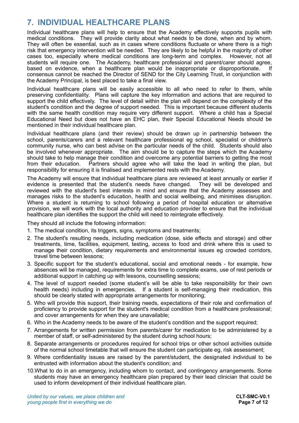## <span id="page-6-0"></span>**7. INDIVIDUAL HEALTHCARE PLANS**

Individual healthcare plans will help to ensure that the Academy effectively supports pupils with medical conditions. They will provide clarity about what needs to be done, when and by whom. They will often be essential, such as in cases where conditions fluctuate or where there is a high risk that emergency intervention will be needed. They are likely to be helpful in the majority of other cases too, especially where medical conditions are long-term and complex. However, not all students will require one. The Academy, healthcare professional and parent/carer should agree, based on evidence, when a healthcare plan would be inappropriate or disproportionate. If consensus cannot be reached the Director of SEND for the City Learning Trust, in conjunction with the Academy Principal, is best placed to take a final view.

Individual healthcare plans will be easily accessible to all who need to refer to them, while preserving confidentiality. Plans will capture the key information and actions that are required to support the child effectively. The level of detail within the plan will depend on the complexity of the student's condition and the degree of support needed. This is important because different students with the same health condition may require very different support. Where a child has a Special Educational Need but does not have an EHC plan, their Special Educational Needs should be mentioned in their individual healthcare plan.

Individual healthcare plans (and their review) should be drawn up in partnership between the school, parents/carers and a relevant healthcare professional eg school, specialist or children's community nurse, who can best advise on the particular needs of the child. Students should also be involved whenever appropriate. The aim should be to capture the steps which the Academy should take to help manage their condition and overcome any potential barriers to getting the most from their education. Partners should agree who will take the lead in writing the plan, but responsibility for ensuring it is finalised and implemented rests with the Academy.

The Academy will ensure that individual healthcare plans are reviewed at least annually or earlier if evidence is presented that the student's needs have changed. They will be developed and reviewed with the student's best interests in mind and ensure that the Academy assesses and manages risks to the student's education, health and social wellbeing, and minimises disruption. Where a student is returning to school following a period of hospital education or alternative provision, we will work with the local authority and education provider to ensure that the individual healthcare plan identifies the support the child will need to reintegrate effectively.

They should all include the following information:

- 1. The medical condition, its triggers, signs, symptoms and treatments;
- 2. The student's resulting needs, including medication (dose, side effects and storage) and other treatments, time, facilities, equipment, testing, access to food and drink where this is used to manage their condition, dietary requirements and environmental issues eg crowded corridors, travel time between lessons;
- 3. Specific support for the student's educational, social and emotional needs for example, how absences will be managed, requirements for extra time to complete exams, use of rest periods or additional support in catching up with lessons, counselling sessions;
- 4. The level of support needed (some student's will be able to take responsibility for their own health needs) including in emergencies. If a student is self-managing their medication, this should be clearly stated with appropriate arrangements for monitoring;
- 5. Who will provide this support, their training needs, expectations of their role and confirmation of proficiency to provide support for the student's medical condition from a healthcare professional; and cover arrangements for when they are unavailable;
- 6. Who in the Academy needs to be aware of the student's condition and the support required;
- 7. Arrangements for written permission from parents/carer for medication to be administered by a member of staff, or self-administered by the student during school hours;
- 8. Separate arrangements or procedures required for school trips or other school activities outside of the normal school timetable that will ensure the student can participate eg, risk assessment;
- 9. Where confidentiality issues are raised by the parent/student, the designated individual to be entrusted with information about the student's condition; and
- 10.What to do in an emergency, including whom to contact, and contingency arrangements. Some students may have an emergency healthcare plan prepared by their lead clinician that could be used to inform development of their individual healthcare plan.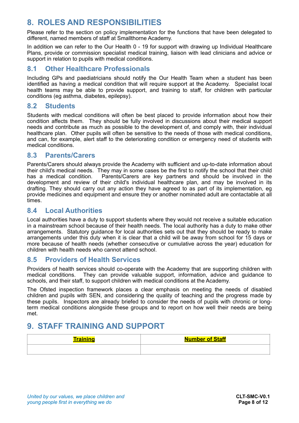## <span id="page-7-0"></span>**8. ROLES AND RESPONSIBILITIES**

Please refer to the section on policy implementation for the functions that have been delegated to different, named members of staff at Smallthorne Academy.

In addition we can refer to the Our Health 0 - 19 for support with drawing up Individual Healthcare Plans, provide or commission specialist medical training, liaison with lead clinicians and advice or support in relation to pupils with medical conditions.

#### <span id="page-7-1"></span>**8.1 Other Healthcare Professionals**

Including GPs and paediatricians should notify the Our Health Team when a student has been identified as having a medical condition that will require support at the Academy. Specialist local health teams may be able to provide support, and training to staff, for children with particular conditions (eg asthma, diabetes, epilepsy).

#### <span id="page-7-2"></span>**8.2 Students**

Students with medical conditions will often be best placed to provide information about how their condition affects them. They should be fully involved in discussions about their medical support needs and contribute as much as possible to the development of, and comply with, their individual healthcare plan. Other pupils will often be sensitive to the needs of those with medical conditions, and can, for example, alert staff to the deteriorating condition or emergency need of students with medical conditions.

#### <span id="page-7-3"></span>**8.3 Parents/Carers**

Parents/Carers should always provide the Academy with sufficient and up-to-date information about their child's medical needs. They may in some cases be the first to notify the school that their child has a medical condition. Parents/Carers are key partners and should be involved in the development and review of their child's individual healthcare plan, and may be involved in its drafting. They should carry out any action they have agreed to as part of its implementation, eg provide medicines and equipment and ensure they or another nominated adult are contactable at all times.

#### <span id="page-7-4"></span>**8.4 Local Authorities**

Local authorities have a duty to support students where they would not receive a suitable education in a mainstream school because of their health needs. The local authority has a duty to make other arrangements. Statutory guidance for local authorities sets out that they should be ready to make arrangements under this duty when it is clear that a child will be away from school for 15 days or more because of health needs (whether consecutive or cumulative across the year) education for children with health needs who cannot attend school.

#### <span id="page-7-5"></span>**8.5 Providers of Health Services**

Providers of health services should co-operate with the Academy that are supporting children with medical conditions. They can provide valuable support, information, advice and guidance to schools, and their staff, to support children with medical conditions at the Academy.

The Ofsted inspection framework places a clear emphasis on meeting the needs of disabled children and pupils with SEN, and considering the quality of teaching and the progress made by these pupils. Inspectors are already briefed to consider the needs of pupils with chronic or longterm medical conditions alongside these groups and to report on how well their needs are being met.

## <span id="page-7-6"></span>**9. STAFF TRAINING AND SUPPORT**

| <b>Training</b> | <b>Number of Staff</b> |
|-----------------|------------------------|
|                 |                        |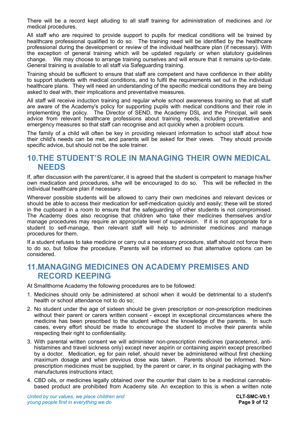There will be a record kept alluding to all staff training for administration of medicines and /or medical procedures.

All staff who are required to provide support to pupils for medical conditions will be trained by healthcare professional qualified to do so. The training need will be identified by the healthcare professional during the development or review of the individual healthcare plan (if necessary). With the exception of general training which will be updated regularly or when statutory guidelines change. We may choose to arrange training ourselves and will ensure that it remains up-to-date. General training is available to all staff via Safeguarding training.

Training should be sufficient to ensure that staff are competent and have confidence in their ability to support students with medical conditions, and to fulfil the requirements set out in the individual healthcare plans. They will need an understanding of the specific medical conditions they are being asked to deal with, their implications and preventative measures.

All staff will receive induction training and regular whole school awareness training so that all staff are aware of the Academy's policy for supporting pupils with medical conditions and their role in implementing the policy. The Director of SEND, the Academy DSL and the Principal, will seek advice from relevant healthcare professions about training needs, including preventative and emergency measures so that staff can recognise and act quickly when a problem occurs.

The family of a child will often be key in providing relevant information to school staff about how their child's needs can be met, and parents will be asked for their views. They should provide specific advice, but should not be the sole trainer.

### <span id="page-8-0"></span>**10.THE STUDENT'S ROLE IN MANAGING THEIR OWN MEDICAL NEEDS**

If, after discussion with the parent/carer, it is agreed that the student is competent to manage his/her own medication and procedures, s/he will be encouraged to do so. This will be reflected in the individual healthcare plan if necessary.

Wherever possible students will be allowed to carry their own medicines and relevant devices or should be able to access their medication for self-medication quickly and easily; these will be stored in the cupboard in a room to ensure that the safeguarding of other students is not compromised. The Academy does also recognise that children who take their medicines themselves and/or manage procedures may require an appropriate level of supervision. If it is not appropriate for a student to self-manage, then relevant staff will help to administer medicines and manage procedures for them.

If a student refuses to take medicine or carry out a necessary procedure, staff should not force them to do so, but follow the procedure. Parents will be informed so that alternative options can be considered.

## <span id="page-8-1"></span>**11.MANAGING MEDICINES ON ACADEMY PREMISES AND RECORD KEEPING**

At Smallthorne Academy the following procedures are to be followed:

- 1. Medicines should only be administered at school when it would be detrimental to a student's health or school attendance not to do so;
- 2. No student under the age of sixteen should be given prescription or non-prescription medicines without their parent or carers written consent - except in exceptional circumstances where the medicine has been prescribed to the student without the knowledge of the parents. In such cases, every effort should be made to encourage the student to involve their parents while respecting their right to confidentiality.
- 3. With parental written consent we will administer non-prescription medicines (paracetemol, antihistamines and travel sickness only) except never aspirin or containing aspirin except prescribed by a doctor. Medication, eg for pain relief, should never be administered without first checking maximum dosage and when previous dose was taken. Parents should be informed. Nonprescription medicines must be supplied, by the parent or carer, in its original packaging with the manufactures instructions intact;
- 4. CBD oils, or medicines legally obtained over the counter that claim to be a medicinal cannabisbased product are prohibited from Academy site. An exception to this is when a written note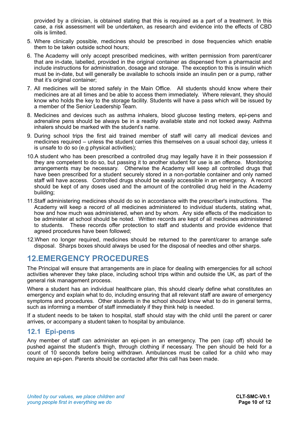provided by a clinician, is obtained stating that this is required as a part of a treatment. In this case, a risk assessment will be undertaken, as research and evidence into the effects of CBD oils is limited.

- 5. Where clinically possible, medicines should be prescribed in dose frequencies which enable them to be taken outside school hours;
- 6. The Academy will only accept prescribed medicines, with written permission from parent/carer that are in-date, labelled, provided in the original container as dispensed from a pharmacist and include instructions for administration, dosage and storage. The exception to this is insulin which must be in-date, but will generally be available to schools inside an insulin pen or a pump, rather that it's original container;
- 7. All medicines will be stored safely in the Main Office. All students should know where their medicines are at all times and be able to access them immediately. Where relevant, they should know who holds the key to the storage facility. Students will have a pass which will be issued by a member of the Senior Leadership Team.
- 8. Medicines and devices such as asthma inhalers, blood glucose testing meters, epi-pens and adrenaline pens should be always be in a readily available state and not locked away. Asthma inhalers should be marked with the student's name.
- 9. During school trips the first aid trained member of staff will carry all medical devices and medicines required – unless the student carries this themselves on a usual school day, unless it is unsafe to do so (e.g physical activities);
- 10.A student who has been prescribed a controlled drug may legally have it in their possession if they are competent to do so, but passing it to another student for use is an offence. Monitoring arrangements may be necessary. Otherwise the Academy will keep all controlled drugs that have been prescribed for a student securely stored in a non-portable container and only named staff will have access. Controlled drugs should be easily accessible in an emergency. A record should be kept of any doses used and the amount of the controlled drug held in the Academy building;
- 11.Staff administering medicines should do so in accordance with the prescriber's instructions. The Academy will keep a record of all medicines administered to individual students, stating what, how and how much was administered, when and by whom. Any side effects of the medication to be administer at school should be noted. Written records are kept of all medicines administered to students. These records offer protection to staff and students and provide evidence that agreed procedures have been followed;
- 12.When no longer required, medicines should be returned to the parent/carer to arrange safe disposal. Sharps boxes should always be used for the disposal of needles and other sharps.

## <span id="page-9-0"></span>**12.EMERGENCY PROCEDURES**

The Principal will ensure that arrangements are in place for dealing with emergencies for all school activities wherever they take place, including school trips within and outside the UK, as part of the general risk management process.

Where a student has an individual healthcare plan, this should clearly define what constitutes an emergency and explain what to do, including ensuring that all relevant staff are aware of emergency symptoms and procedures. Other students in the school should know what to do in general terms, such as informing a member of staff immediately if they think help is needed.

If a student needs to be taken to hospital, staff should stay with the child until the parent or carer arrives, or accompany a student taken to hospital by ambulance.

#### <span id="page-9-1"></span>**12.1 Epi-pens**

Any member of staff can administer an epi-pen in an emergency. The pen (cap off) should be pushed against the student's thigh, through clothing if necessary. The pen should be held for a count of 10 seconds before being withdrawn. Ambulances must be called for a child who may require an epi-pen. Parents should be contacted after this call has been made.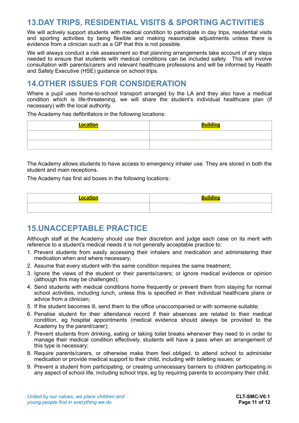## <span id="page-10-0"></span>**13.DAY TRIPS, RESIDENTIAL VISITS & SPORTING ACTIVITIES**

We will actively support students with medical condition to participate in day trips, residential visits and sporting activities by being flexible and making reasonable adjustments unless there is evidence from a clinician such as a GP that this is not possible.

We will always conduct a risk assessment so that planning arrangements take account of any steps needed to ensure that students with medical conditions can be included safely. This will involve consultation with parents/carers and relevant healthcare professions and will be informed by Health and Safety Executive (HSE) guidance on school trips.

## <span id="page-10-1"></span>**14.OTHER ISSUES FOR CONSIDERATION**

Where a pupil uses home-to-school transport arranged by the LA and they also have a medical condition which is life-threatening, we will share the student's individual healthcare plan (if necessary) with the local authority.

The Academy has defibrillators in the following locations:

| <u>Location</u> | <b>Building</b> |
|-----------------|-----------------|
|                 |                 |
|                 |                 |

The Academy allows students to have access to emergency inhaler use. They are stored in both the student and main receptions.

The Academy has first aid boxes in the following locations:

## <span id="page-10-2"></span>**15.UNACCEPTABLE PRACTICE**

Although staff at the Academy should use their discretion and judge each case on its merit with reference to a student's medical needs it is not generally acceptable practice to:

- 1. Prevent students from easily accessing their inhalers and medication and administering their medication when and where necessary;
- 2. Assume that every student with the same condition requires the same treatment;
- 3. Ignore the views of the student or their parents/carers; or ignore medical evidence or opinion (although this may be challenged);
- 4. Send students with medical conditions home frequently or prevent them from staying for normal school activities, including lunch, unless this is specified in their individual healthcare plans or advice from a clinician;
- 5. If the student becomes ill, send them to the office unaccompanied or with someone suitable;
- 6. Penalise student for their attendance record if their absences are related to their medical condition, eg hospital appointments (medical evidence should always be provided to the Academy by the parent/carer);
- 7. Prevent students from drinking, eating or taking toilet breaks whenever they need to in order to manage their medical condition effectively, students will have a pass when an arrangement of this type is necessary;
- 8. Require parents/carers, or otherwise make them feel obliged, to attend school to administer medication or provide medical support to their child, including with toileting issues; or
- 9. Prevent a student from participating, or creating unnecessary barriers to children participating in any aspect of school life, including school trips, eg by requiring parents to accompany their child.